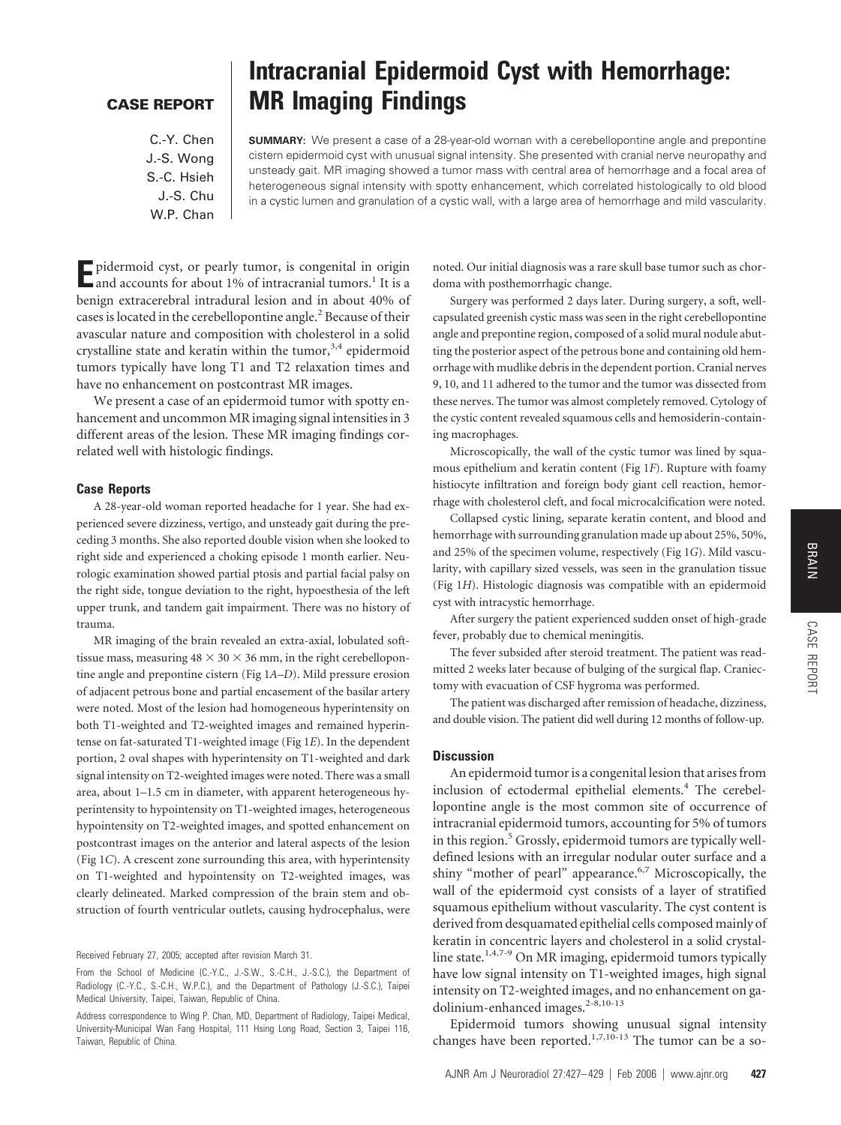CASE REPORT

## **CASE REPORT**

C.-Y. Chen J.-S. Wong S.-C. Hsieh J.-S. Chu W.P. Chan

# **Intracranial Epidermoid Cyst with Hemorrhage: MR Imaging Findings**

**SUMMARY:** We present a case of a 28-year-old woman with a cerebellopontine angle and prepontine cistern epidermoid cyst with unusual signal intensity. She presented with cranial nerve neuropathy and unsteady gait. MR imaging showed a tumor mass with central area of hemorrhage and a focal area of heterogeneous signal intensity with spotty enhancement, which correlated histologically to old blood in a cystic lumen and granulation of a cystic wall, with a large area of hemorrhage and mild vascularity.

**E**pidermoid cyst, or pearly tumor, is congenital in origin and accounts for about 1% of intracranial tumors.<sup>1</sup> It is a benign extracerebral intradural lesion and in about 40% of cases is located in the cerebellopontine angle.<sup>2</sup> Because of their avascular nature and composition with cholesterol in a solid crystalline state and keratin within the tumor,  $3,4$  epidermoid tumors typically have long T1 and T2 relaxation times and have no enhancement on postcontrast MR images.

We present a case of an epidermoid tumor with spotty enhancement and uncommon MR imaging signal intensities in 3 different areas of the lesion. These MR imaging findings correlated well with histologic findings.

### **Case Reports**

A 28-year-old woman reported headache for 1 year. She had experienced severe dizziness, vertigo, and unsteady gait during the preceding 3 months. She also reported double vision when she looked to right side and experienced a choking episode 1 month earlier. Neurologic examination showed partial ptosis and partial facial palsy on the right side, tongue deviation to the right, hypoesthesia of the left upper trunk, and tandem gait impairment. There was no history of trauma.

MR imaging of the brain revealed an extra-axial, lobulated softtissue mass, measuring  $48 \times 30 \times 36$  mm, in the right cerebellopontine angle and prepontine cistern (Fig 1*A*–*D*). Mild pressure erosion of adjacent petrous bone and partial encasement of the basilar artery were noted. Most of the lesion had homogeneous hyperintensity on both T1-weighted and T2-weighted images and remained hyperintense on fat-saturated T1-weighted image (Fig 1*E*). In the dependent portion, 2 oval shapes with hyperintensity on T1-weighted and dark signal intensity on T2-weighted images were noted. There was a small area, about 1–1.5 cm in diameter, with apparent heterogeneous hyperintensity to hypointensity on T1-weighted images, heterogeneous hypointensity on T2-weighted images, and spotted enhancement on postcontrast images on the anterior and lateral aspects of the lesion (Fig 1*C*). A crescent zone surrounding this area, with hyperintensity on T1-weighted and hypointensity on T2-weighted images, was clearly delineated. Marked compression of the brain stem and obstruction of fourth ventricular outlets, causing hydrocephalus, were

Received February 27, 2005; accepted after revision March 31.

From the School of Medicine (C.-Y.C., J.-S.W., S.-C.H., J.-S.C.), the Department of Radiology (C.-Y.C., S.-C.H., W.P.C.), and the Department of Pathology (J.-S.C.), Taipei Medical University, Taipei, Taiwan, Republic of China.

Address correspondence to Wing P. Chan, MD, Department of Radiology, Taipei Medical, University-Municipal Wan Fang Hospital, 111 Hsing Long Road, Section 3, Taipei 116, Taiwan, Republic of China.

noted. Our initial diagnosis was a rare skull base tumor such as chordoma with posthemorrhagic change.

Surgery was performed 2 days later. During surgery, a soft, wellcapsulated greenish cystic mass was seen in the right cerebellopontine angle and prepontine region, composed of a solid mural nodule abutting the posterior aspect of the petrous bone and containing old hemorrhage with mudlike debris in the dependent portion. Cranial nerves 9, 10, and 11 adhered to the tumor and the tumor was dissected from these nerves. The tumor was almost completely removed. Cytology of the cystic content revealed squamous cells and hemosiderin-containing macrophages.

Microscopically, the wall of the cystic tumor was lined by squamous epithelium and keratin content (Fig 1*F*). Rupture with foamy histiocyte infiltration and foreign body giant cell reaction, hemorrhage with cholesterol cleft, and focal microcalcification were noted.

Collapsed cystic lining, separate keratin content, and blood and hemorrhage with surrounding granulation made up about 25%, 50%, and 25% of the specimen volume, respectively (Fig 1*G*). Mild vascularity, with capillary sized vessels, was seen in the granulation tissue (Fig 1*H*). Histologic diagnosis was compatible with an epidermoid cyst with intracystic hemorrhage.

After surgery the patient experienced sudden onset of high-grade fever, probably due to chemical meningitis.

The fever subsided after steroid treatment. The patient was readmitted 2 weeks later because of bulging of the surgical flap. Craniectomy with evacuation of CSF hygroma was performed.

The patient was discharged after remission of headache, dizziness, and double vision. The patient did well during 12 months of follow-up.

### **Discussion**

An epidermoid tumor is a congenital lesion that arises from inclusion of ectodermal epithelial elements.<sup>4</sup> The cerebellopontine angle is the most common site of occurrence of intracranial epidermoid tumors, accounting for 5% of tumors in this region. $5$  Grossly, epidermoid tumors are typically welldefined lesions with an irregular nodular outer surface and a shiny "mother of pearl" appearance. $6,7$  Microscopically, the wall of the epidermoid cyst consists of a layer of stratified squamous epithelium without vascularity. The cyst content is derived from desquamated epithelial cells composed mainly of keratin in concentric layers and cholesterol in a solid crystalline state.<sup>1,4,7-9</sup> On MR imaging, epidermoid tumors typically have low signal intensity on T1-weighted images, high signal intensity on T2-weighted images, and no enhancement on gadolinium-enhanced images.<sup>2-8,10-13</sup>

Epidermoid tumors showing unusual signal intensity changes have been reported.<sup>1,7,10-13</sup> The tumor can be a so-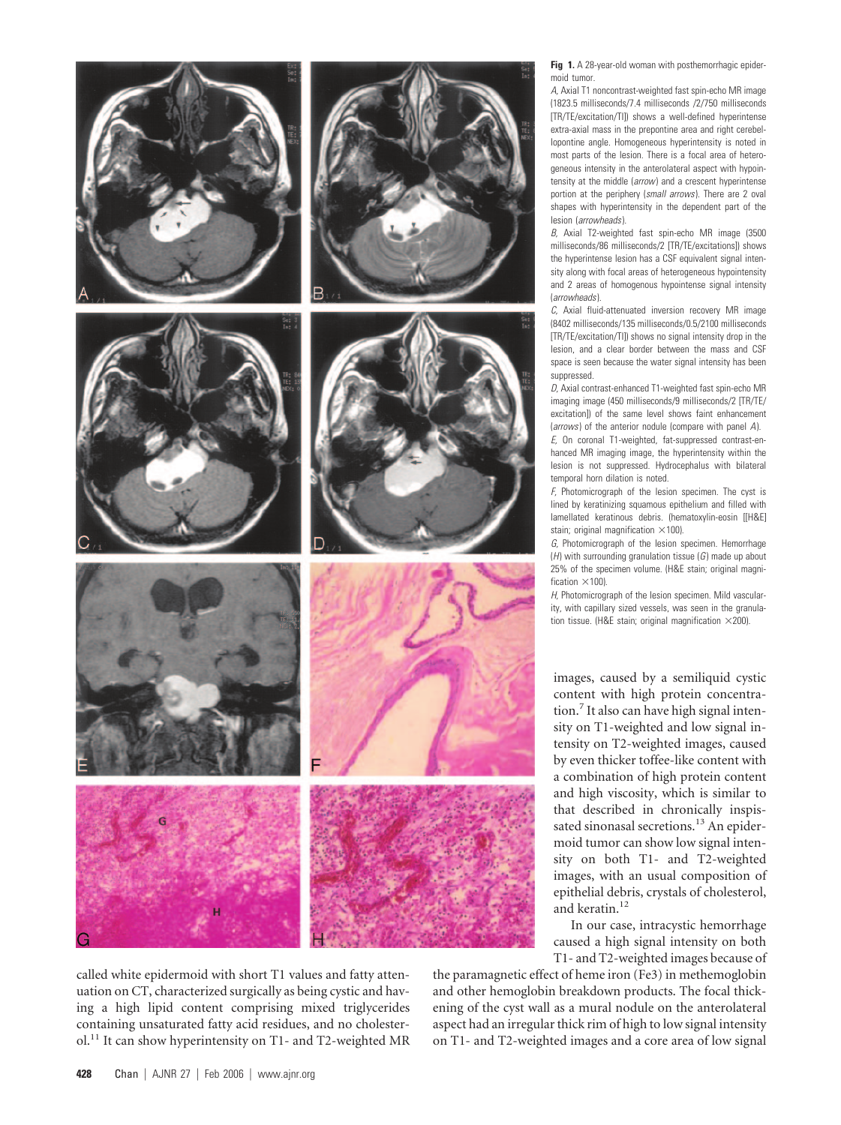









called white epidermoid with short T1 values and fatty attenuation on CT, characterized surgically as being cystic and having a high lipid content comprising mixed triglycerides containing unsaturated fatty acid residues, and no cholesterol.<sup>11</sup> It can show hyperintensity on T1- and T2-weighted MR

**Fig 1.** A 28-year-old woman with posthemorrhagic epidermoid tumor.

*A,* Axial T1 noncontrast-weighted fast spin-echo MR image (1823.5 milliseconds/7.4 milliseconds /2/750 milliseconds [TR/TE/excitation/TI]) shows a well-defined hyperintense extra-axial mass in the prepontine area and right cerebellopontine angle. Homogeneous hyperintensity is noted in most parts of the lesion. There is a focal area of heterogeneous intensity in the anterolateral aspect with hypointensity at the middle (*arrow*) and a crescent hyperintense portion at the periphery (*small arrows*). There are 2 oval shapes with hyperintensity in the dependent part of the lesion (*arrowheads*).

*B,* Axial T2-weighted fast spin-echo MR image (3500 milliseconds/86 milliseconds/2 [TR/TE/excitations]) shows the hyperintense lesion has a CSF equivalent signal intensity along with focal areas of heterogeneous hypointensity and 2 areas of homogenous hypointense signal intensity (*arrowheads*).

*C,* Axial fluid-attenuated inversion recovery MR image (8402 milliseconds/135 milliseconds/0.5/2100 milliseconds [TR/TE/excitation/TI]) shows no signal intensity drop in the lesion, and a clear border between the mass and CSF space is seen because the water signal intensity has been suppressed.

*D,* Axial contrast-enhanced T1-weighted fast spin-echo MR imaging image (450 milliseconds/9 milliseconds/2 [TR/TE/ excitation]) of the same level shows faint enhancement (*arrows*) of the anterior nodule (compare with panel *A*).

*E,* On coronal T1-weighted, fat-suppressed contrast-enhanced MR imaging image, the hyperintensity within the lesion is not suppressed. Hydrocephalus with bilateral temporal horn dilation is noted.

*F,* Photomicrograph of the lesion specimen. The cyst is lined by keratinizing squamous epithelium and filled with lamellated keratinous debris. (hematoxylin-eosin [[H&E] stain; original magnification  $\times$ 100).

*G,* Photomicrograph of the lesion specimen. Hemorrhage (*H*) with surrounding granulation tissue (*G*) made up about 25% of the specimen volume. (H&E stain; original magni $f$ ication  $\times$ 100).

*H,* Photomicrograph of the lesion specimen. Mild vascularity, with capillary sized vessels, was seen in the granulation tissue. (H&E stain; original magnification  $\times$ 200).

images, caused by a semiliquid cystic content with high protein concentration.<sup>7</sup> It also can have high signal intensity on T1-weighted and low signal intensity on T2-weighted images, caused by even thicker toffee-like content with a combination of high protein content and high viscosity, which is similar to that described in chronically inspissated sinonasal secretions.<sup>13</sup> An epidermoid tumor can show low signal intensity on both T1- and T2-weighted images, with an usual composition of epithelial debris, crystals of cholesterol, and keratin.<sup>12</sup>

In our case, intracystic hemorrhage caused a high signal intensity on both T1- and T2-weighted images because of

the paramagnetic effect of heme iron (Fe3) in methemoglobin and other hemoglobin breakdown products. The focal thickening of the cyst wall as a mural nodule on the anterolateral aspect had an irregular thick rim of high to low signal intensity on T1- and T2-weighted images and a core area of low signal